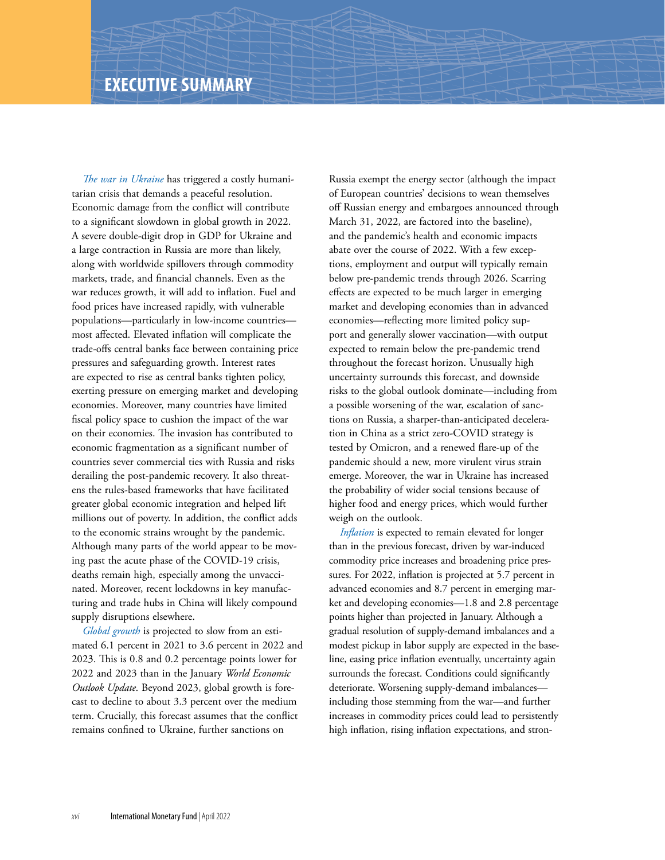*The war in Ukraine* has triggered a costly humanitarian crisis that demands a peaceful resolution. Economic damage from the conflict will contribute to a significant slowdown in global growth in 2022. A severe double-digit drop in GDP for Ukraine and a large contraction in Russia are more than likely, along with worldwide spillovers through commodity markets, trade, and financial channels. Even as the war reduces growth, it will add to inflation. Fuel and food prices have increased rapidly, with vulnerable populations—particularly in low-income countries most affected. Elevated inflation will complicate the trade-offs central banks face between containing price pressures and safeguarding growth. Interest rates are expected to rise as central banks tighten policy, exerting pressure on emerging market and developing economies. Moreover, many countries have limited fiscal policy space to cushion the impact of the war on their economies. The invasion has contributed to economic fragmentation as a significant number of countries sever commercial ties with Russia and risks derailing the post-pandemic recovery. It also threatens the rules-based frameworks that have facilitated greater global economic integration and helped lift millions out of poverty. In addition, the conflict adds to the economic strains wrought by the pandemic. Although many parts of the world appear to be moving past the acute phase of the COVID-19 crisis, deaths remain high, especially among the unvaccinated. Moreover, recent lockdowns in key manufacturing and trade hubs in China will likely compound supply disruptions elsewhere.

*Global growth* is projected to slow from an estimated 6.1 percent in 2021 to 3.6 percent in 2022 and 2023. This is 0.8 and 0.2 percentage points lower for 2022 and 2023 than in the January *World Economic Outlook Update*. Beyond 2023, global growth is forecast to decline to about 3.3 percent over the medium term. Crucially, this forecast assumes that the conflict remains confined to Ukraine, further sanctions on

Russia exempt the energy sector (although the impact of European countries' decisions to wean themselves off Russian energy and embargoes announced through March 31, 2022, are factored into the baseline), and the pandemic's health and economic impacts abate over the course of 2022. With a few exceptions, employment and output will typically remain below pre-pandemic trends through 2026. Scarring effects are expected to be much larger in emerging market and developing economies than in advanced economies—reflecting more limited policy support and generally slower vaccination—with output expected to remain below the pre-pandemic trend throughout the forecast horizon. Unusually high uncertainty surrounds this forecast, and downside risks to the global outlook dominate—including from a possible worsening of the war, escalation of sanctions on Russia, a sharper-than-anticipated deceleration in China as a strict zero-COVID strategy is tested by Omicron, and a renewed flare-up of the pandemic should a new, more virulent virus strain emerge. Moreover, the war in Ukraine has increased the probability of wider social tensions because of higher food and energy prices, which would further weigh on the outlook.

*Inflation* is expected to remain elevated for longer than in the previous forecast, driven by war-induced commodity price increases and broadening price pressures. For 2022, inflation is projected at 5.7 percent in advanced economies and 8.7 percent in emerging market and developing economies—1.8 and 2.8 percentage points higher than projected in January. Although a gradual resolution of supply-demand imbalances and a modest pickup in labor supply are expected in the baseline, easing price inflation eventually, uncertainty again surrounds the forecast. Conditions could significantly deteriorate. Worsening supply-demand imbalances including those stemming from the war—and further increases in commodity prices could lead to persistently high inflation, rising inflation expectations, and stron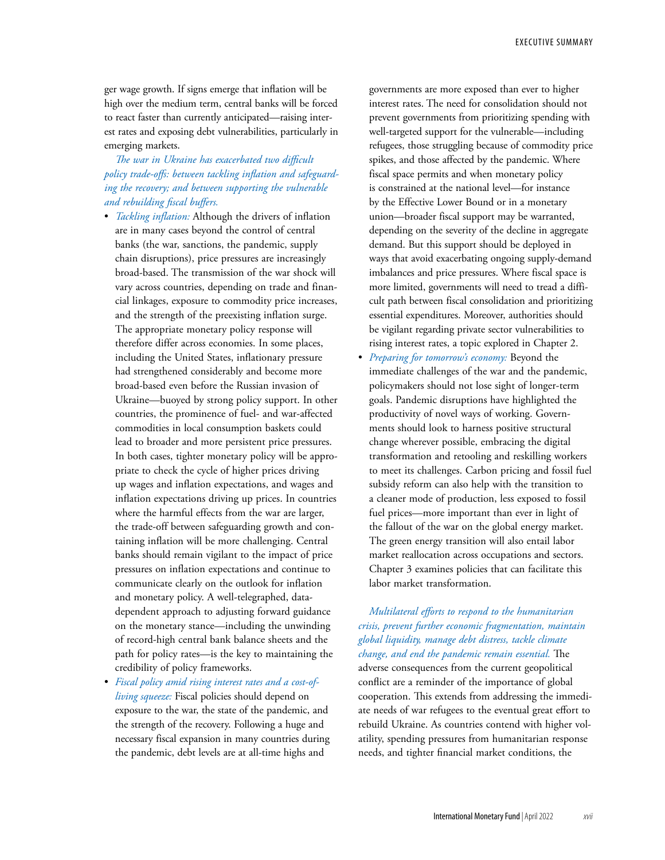ger wage growth. If signs emerge that inflation will be high over the medium term, central banks will be forced to react faster than currently anticipated—raising interest rates and exposing debt vulnerabilities, particularly in emerging markets.

## *The war in Ukraine has exacerbated two difficult policy trade-offs: between tackling inflation and safeguarding the recovery; and between supporting the vulnerable and rebuilding fiscal buffers.*

- *Tackling inflation:* Although the drivers of inflation are in many cases beyond the control of central banks (the war, sanctions, the pandemic, supply chain disruptions), price pressures are increasingly broad-based. The transmission of the war shock will vary across countries, depending on trade and financial linkages, exposure to commodity price increases, and the strength of the preexisting inflation surge. The appropriate monetary policy response will therefore differ across economies. In some places, including the United States, inflationary pressure had strengthened considerably and become more broad-based even before the Russian invasion of Ukraine—buoyed by strong policy support. In other countries, the prominence of fuel- and war-affected commodities in local consumption baskets could lead to broader and more persistent price pressures. In both cases, tighter monetary policy will be appropriate to check the cycle of higher prices driving up wages and inflation expectations, and wages and inflation expectations driving up prices. In countries where the harmful effects from the war are larger, the trade-off between safeguarding growth and containing inflation will be more challenging. Central banks should remain vigilant to the impact of price pressures on inflation expectations and continue to communicate clearly on the outlook for inflation and monetary policy. A well-telegraphed, datadependent approach to adjusting forward guidance on the monetary stance—including the unwinding of record-high central bank balance sheets and the path for policy rates—is the key to maintaining the credibility of policy frameworks.
- *Fiscal policy amid rising interest rates and a cost-ofliving squeeze:* Fiscal policies should depend on exposure to the war, the state of the pandemic, and the strength of the recovery. Following a huge and necessary fiscal expansion in many countries during the pandemic, debt levels are at all-time highs and

governments are more exposed than ever to higher interest rates. The need for consolidation should not prevent governments from prioritizing spending with well-targeted support for the vulnerable—including refugees, those struggling because of commodity price spikes, and those affected by the pandemic. Where fiscal space permits and when monetary policy is constrained at the national level—for instance by the Effective Lower Bound or in a monetary union—broader fiscal support may be warranted, depending on the severity of the decline in aggregate demand. But this support should be deployed in ways that avoid exacerbating ongoing supply-demand imbalances and price pressures. Where fiscal space is more limited, governments will need to tread a difficult path between fiscal consolidation and prioritizing essential expenditures. Moreover, authorities should be vigilant regarding private sector vulnerabilities to rising interest rates, a topic explored in Chapter 2.

• *Preparing for tomorrow's economy:* Beyond the immediate challenges of the war and the pandemic, policymakers should not lose sight of longer-term goals. Pandemic disruptions have highlighted the productivity of novel ways of working. Governments should look to harness positive structural change wherever possible, embracing the digital transformation and retooling and reskilling workers to meet its challenges. Carbon pricing and fossil fuel subsidy reform can also help with the transition to a cleaner mode of production, less exposed to fossil fuel prices—more important than ever in light of the fallout of the war on the global energy market. The green energy transition will also entail labor market reallocation across occupations and sectors. Chapter 3 examines policies that can facilitate this labor market transformation.

*Multilateral efforts to respond to the humanitarian crisis, prevent further economic fragmentation, maintain global liquidity, manage debt distress, tackle climate change, and end the pandemic remain essential.* The adverse consequences from the current geopolitical conflict are a reminder of the importance of global cooperation. This extends from addressing the immediate needs of war refugees to the eventual great effort to rebuild Ukraine. As countries contend with higher volatility, spending pressures from humanitarian response needs, and tighter financial market conditions, the